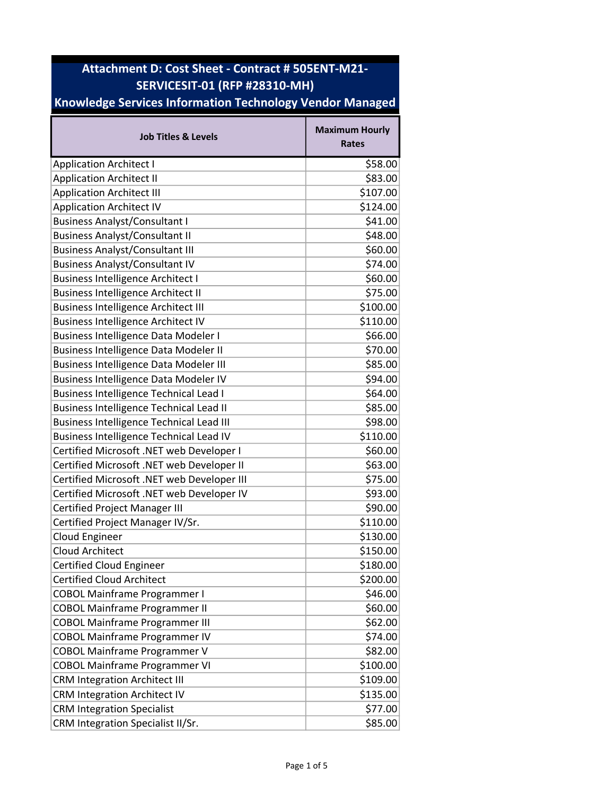## Attachment D: Cost Sheet - Contract # 505ENT-M21- SERVICESIT-01 (RFP #28310-MH)

## Knowledge Services Information Technology Vendor Managed

| <b>Job Titles &amp; Levels</b>                  | <b>Maximum Hourly</b><br><b>Rates</b> |
|-------------------------------------------------|---------------------------------------|
| <b>Application Architect I</b>                  | \$58.00                               |
| <b>Application Architect II</b>                 | \$83.00                               |
| <b>Application Architect III</b>                | \$107.00                              |
| <b>Application Architect IV</b>                 | \$124.00                              |
| <b>Business Analyst/Consultant I</b>            | \$41.00                               |
| <b>Business Analyst/Consultant II</b>           | \$48.00                               |
| <b>Business Analyst/Consultant III</b>          | \$60.00                               |
| <b>Business Analyst/Consultant IV</b>           | \$74.00                               |
| <b>Business Intelligence Architect I</b>        | \$60.00                               |
| <b>Business Intelligence Architect II</b>       | \$75.00                               |
| <b>Business Intelligence Architect III</b>      | \$100.00                              |
| <b>Business Intelligence Architect IV</b>       | \$110.00                              |
| <b>Business Intelligence Data Modeler I</b>     | \$66.00                               |
| <b>Business Intelligence Data Modeler II</b>    | \$70.00                               |
| <b>Business Intelligence Data Modeler III</b>   | \$85.00                               |
| <b>Business Intelligence Data Modeler IV</b>    | \$94.00                               |
| <b>Business Intelligence Technical Lead I</b>   | \$64.00                               |
| <b>Business Intelligence Technical Lead II</b>  | \$85.00                               |
| <b>Business Intelligence Technical Lead III</b> | \$98.00                               |
| <b>Business Intelligence Technical Lead IV</b>  | \$110.00                              |
| Certified Microsoft .NET web Developer I        | \$60.00                               |
| Certified Microsoft .NET web Developer II       | \$63.00                               |
| Certified Microsoft .NET web Developer III      | \$75.00                               |
| Certified Microsoft .NET web Developer IV       | \$93.00                               |
| <b>Certified Project Manager III</b>            | \$90.00                               |
| Certified Project Manager IV/Sr.                | \$110.00                              |
| <b>Cloud Engineer</b>                           | \$130.00                              |
| <b>Cloud Architect</b>                          | \$150.00                              |
| <b>Certified Cloud Engineer</b>                 | \$180.00                              |
| <b>Certified Cloud Architect</b>                | \$200.00                              |
| <b>COBOL Mainframe Programmer I</b>             | \$46.00                               |
| <b>COBOL Mainframe Programmer II</b>            | \$60.00                               |
| <b>COBOL Mainframe Programmer III</b>           | \$62.00                               |
| <b>COBOL Mainframe Programmer IV</b>            | \$74.00                               |
| <b>COBOL Mainframe Programmer V</b>             | \$82.00                               |
| <b>COBOL Mainframe Programmer VI</b>            | \$100.00                              |
| <b>CRM Integration Architect III</b>            | \$109.00                              |
| <b>CRM Integration Architect IV</b>             | \$135.00                              |
| <b>CRM Integration Specialist</b>               | \$77.00                               |
| CRM Integration Specialist II/Sr.               | \$85.00                               |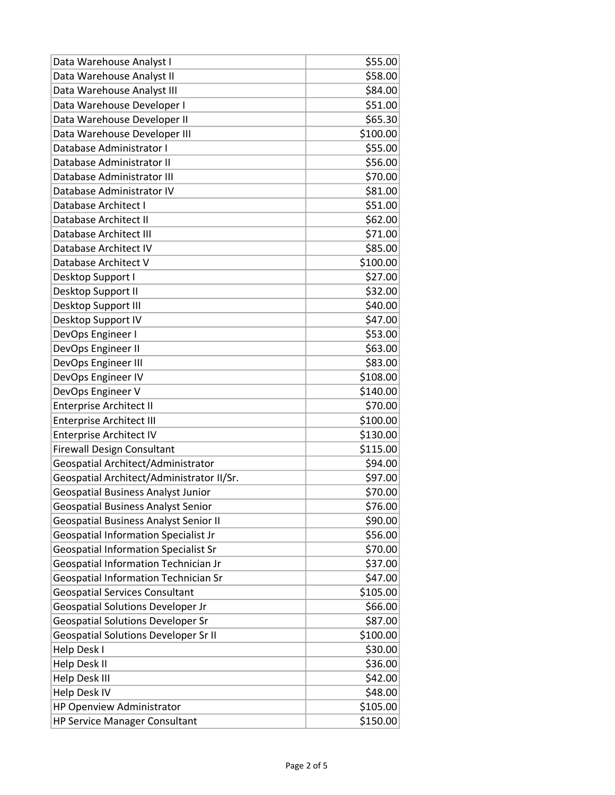| Data Warehouse Analyst I                     | \$55.00  |
|----------------------------------------------|----------|
| Data Warehouse Analyst II                    | \$58.00  |
| Data Warehouse Analyst III                   | \$84.00  |
| Data Warehouse Developer I                   | \$51.00  |
| Data Warehouse Developer II                  | \$65.30  |
| Data Warehouse Developer III                 | \$100.00 |
| Database Administrator I                     | \$55.00  |
| Database Administrator II                    | \$56.00  |
| Database Administrator III                   | \$70.00  |
| Database Administrator IV                    | \$81.00  |
| Database Architect I                         | \$51.00  |
| Database Architect II                        | \$62.00  |
| Database Architect III                       | \$71.00  |
| Database Architect IV                        | \$85.00  |
| Database Architect V                         | \$100.00 |
| Desktop Support I                            | \$27.00  |
| Desktop Support II                           | \$32.00  |
| Desktop Support III                          | \$40.00  |
| Desktop Support IV                           | \$47.00  |
| DevOps Engineer I                            | \$53.00  |
| DevOps Engineer II                           | \$63.00  |
| DevOps Engineer III                          | \$83.00  |
| DevOps Engineer IV                           | \$108.00 |
| DevOps Engineer V                            | \$140.00 |
| <b>Enterprise Architect II</b>               | \$70.00  |
| <b>Enterprise Architect III</b>              | \$100.00 |
| <b>Enterprise Architect IV</b>               | \$130.00 |
| <b>Firewall Design Consultant</b>            | \$115.00 |
| Geospatial Architect/Administrator           | \$94.00  |
| Geospatial Architect/Administrator II/Sr.    | \$97.00  |
| <b>Geospatial Business Analyst Junior</b>    | \$70.00  |
| Geospatial Business Analyst Senior           | \$76.00  |
| <b>Geospatial Business Analyst Senior II</b> | \$90.00  |
| <b>Geospatial Information Specialist Jr</b>  | \$56.00  |
| <b>Geospatial Information Specialist Sr</b>  | \$70.00  |
| Geospatial Information Technician Jr         | \$37.00  |
| Geospatial Information Technician Sr         | \$47.00  |
| <b>Geospatial Services Consultant</b>        | \$105.00 |
| <b>Geospatial Solutions Developer Jr</b>     | \$66.00  |
| <b>Geospatial Solutions Developer Sr</b>     | \$87.00  |
| <b>Geospatial Solutions Developer Sr II</b>  | \$100.00 |
| Help Desk I                                  | \$30.00  |
| Help Desk II                                 | \$36.00  |
| Help Desk III                                | \$42.00  |
| <b>Help Desk IV</b>                          | \$48.00  |
| HP Openview Administrator                    | \$105.00 |
| <b>HP Service Manager Consultant</b>         | \$150.00 |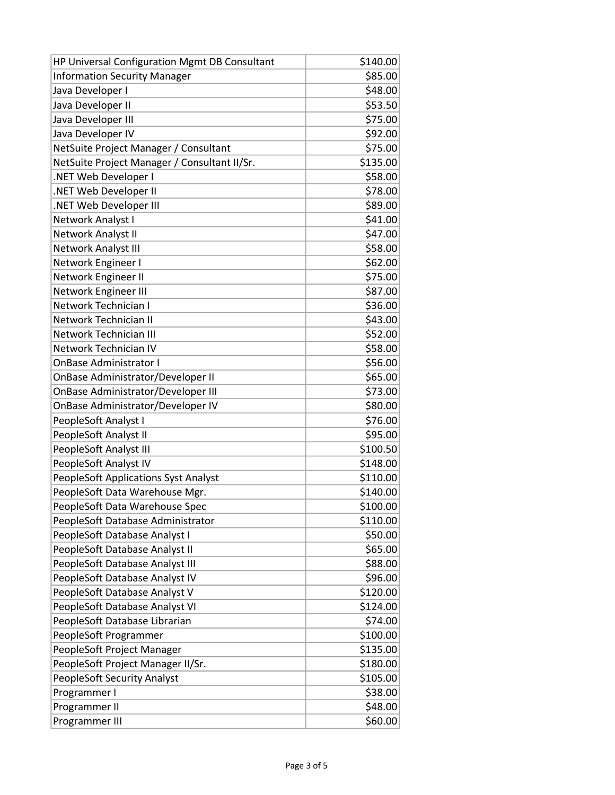| HP Universal Configuration Mgmt DB Consultant | \$140.00 |
|-----------------------------------------------|----------|
| <b>Information Security Manager</b>           | \$85.00  |
| Java Developer I                              | \$48.00  |
| Java Developer II                             | \$53.50  |
| Java Developer III                            | \$75.00  |
| Java Developer IV                             | \$92.00  |
| NetSuite Project Manager / Consultant         | \$75.00  |
| NetSuite Project Manager / Consultant II/Sr.  | \$135.00 |
| .NET Web Developer I                          | \$58.00  |
| .NET Web Developer II                         | \$78.00  |
| .NET Web Developer III                        | \$89.00  |
| Network Analyst I                             | \$41.00  |
| Network Analyst II                            | \$47.00  |
| Network Analyst III                           | \$58.00  |
| Network Engineer I                            | \$62.00  |
| Network Engineer II                           | \$75.00  |
| Network Engineer III                          | \$87.00  |
| Network Technician I                          | \$36.00  |
| Network Technician II                         | \$43.00  |
| <b>Network Technician III</b>                 | \$52.00  |
| Network Technician IV                         | \$58.00  |
| <b>OnBase Administrator I</b>                 | \$56.00  |
| OnBase Administrator/Developer II             | \$65.00  |
| <b>OnBase Administrator/Developer III</b>     | \$73.00  |
| OnBase Administrator/Developer IV             | \$80.00  |
| PeopleSoft Analyst I                          | \$76.00  |
| PeopleSoft Analyst II                         | \$95.00  |
| PeopleSoft Analyst III                        | \$100.50 |
| PeopleSoft Analyst IV                         | \$148.00 |
| <b>PeopleSoft Applications Syst Analyst</b>   | \$110.00 |
| PeopleSoft Data Warehouse Mgr.                | \$140.00 |
| PeopleSoft Data Warehouse Spec                | \$100.00 |
| PeopleSoft Database Administrator             | \$110.00 |
| PeopleSoft Database Analyst I                 | \$50.00  |
| PeopleSoft Database Analyst II                | \$65.00  |
| PeopleSoft Database Analyst III               | \$88.00  |
| PeopleSoft Database Analyst IV                | \$96.00  |
| PeopleSoft Database Analyst V                 | \$120.00 |
| PeopleSoft Database Analyst VI                | \$124.00 |
| PeopleSoft Database Librarian                 | \$74.00  |
| PeopleSoft Programmer                         | \$100.00 |
| PeopleSoft Project Manager                    | \$135.00 |
| PeopleSoft Project Manager II/Sr.             | \$180.00 |
| <b>PeopleSoft Security Analyst</b>            | \$105.00 |
| Programmer I                                  | \$38.00  |
| Programmer II                                 | \$48.00  |
| Programmer III                                | \$60.00  |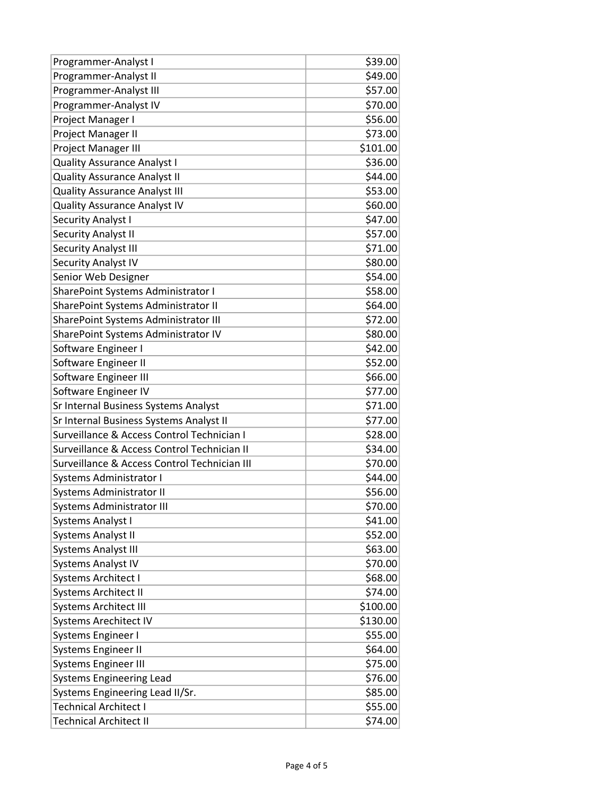| Programmer-Analyst I                         | \$39.00  |
|----------------------------------------------|----------|
| Programmer-Analyst II                        | \$49.00  |
| Programmer-Analyst III                       | \$57.00  |
| Programmer-Analyst IV                        | \$70.00  |
| Project Manager I                            | \$56.00  |
| Project Manager II                           | \$73.00  |
| Project Manager III                          | \$101.00 |
| <b>Quality Assurance Analyst I</b>           | \$36.00  |
| <b>Quality Assurance Analyst II</b>          | \$44.00  |
| <b>Quality Assurance Analyst III</b>         | \$53.00  |
| <b>Quality Assurance Analyst IV</b>          | \$60.00  |
| <b>Security Analyst I</b>                    | \$47.00  |
| <b>Security Analyst II</b>                   | \$57.00  |
| <b>Security Analyst III</b>                  | \$71.00  |
| Security Analyst IV                          | \$80.00  |
| Senior Web Designer                          | \$54.00  |
| SharePoint Systems Administrator I           | \$58.00  |
| SharePoint Systems Administrator II          | \$64.00  |
| SharePoint Systems Administrator III         | \$72.00  |
| SharePoint Systems Administrator IV          | \$80.00  |
| Software Engineer I                          | \$42.00  |
| Software Engineer II                         | \$52.00  |
| Software Engineer III                        | \$66.00  |
| Software Engineer IV                         | \$77.00  |
| Sr Internal Business Systems Analyst         | \$71.00  |
| Sr Internal Business Systems Analyst II      | \$77.00  |
| Surveillance & Access Control Technician I   | \$28.00  |
| Surveillance & Access Control Technician II  | \$34.00  |
| Surveillance & Access Control Technician III | \$70.00  |
| Systems Administrator I                      | \$44.00  |
| <b>Systems Administrator II</b>              | \$56.00  |
| Systems Administrator III                    | \$70.00  |
| Systems Analyst I                            | \$41.00  |
| <b>Systems Analyst II</b>                    | \$52.00  |
| <b>Systems Analyst III</b>                   | \$63.00  |
| <b>Systems Analyst IV</b>                    | \$70.00  |
| Systems Architect I                          | \$68.00  |
| <b>Systems Architect II</b>                  | \$74.00  |
| <b>Systems Architect III</b>                 | \$100.00 |
| <b>Systems Arechitect IV</b>                 | \$130.00 |
| Systems Engineer I                           | \$55.00  |
| Systems Engineer II                          | \$64.00  |
| <b>Systems Engineer III</b>                  | \$75.00  |
| <b>Systems Engineering Lead</b>              | \$76.00  |
| Systems Engineering Lead II/Sr.              | \$85.00  |
| <b>Technical Architect I</b>                 | \$55.00  |
| <b>Technical Architect II</b>                | \$74.00  |